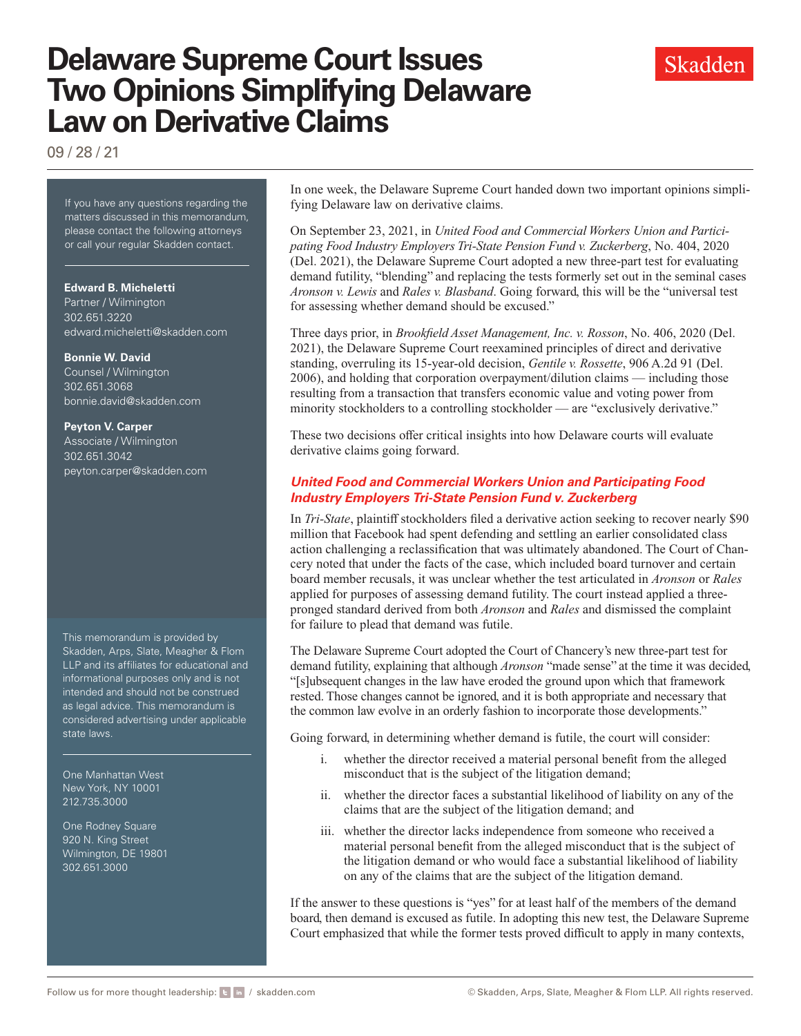# **Delaware Supreme Court Issues Two Opinions Simplifying Delaware Law on Derivative Claims**

09 / 28 / 21

If you have any questions regarding the matters discussed in this memorandum, please contact the following attorneys or call your regular Skadden contact.

**Edward B. Micheletti** Partner / Wilmington 302.651.3220 [edward.micheletti@skadden.com](mailto: edward.micheletti@skadden.com)

#### **Bonnie W. David**

Counsel / Wilmington 302.651.3068 [bonnie.david@skadden.com](mailto: bonnie.david@skadden.com)

**Peyton V. Carper** Associate / Wilmington 302.651.3042 [peyton.carper@skadden.com](mailto: peyton.carper@skadden.com)

This memorandum is provided by Skadden, Arps, Slate, Meagher & Flom LLP and its affiliates for educational and informational purposes only and is not intended and should not be construed as legal advice. This memorandum is considered advertising under applicable state laws.

One Manhattan West New York, NY 10001 212.735.3000

One Rodney Square 920 N. King Street Wilmington, DE 19801 302.651.3000

In one week, the Delaware Supreme Court handed down two important opinions simplifying Delaware law on derivative claims.

On September 23, 2021, in *United Food and Commercial Workers Union and Participating Food Industry Employers Tri-State Pension Fund v. Zuckerberg*, No. 404, 2020 (Del. 2021), the Delaware Supreme Court adopted a new three-part test for evaluating demand futility, "blending" and replacing the tests formerly set out in the seminal cases *Aronson v. Lewis* and *Rales v. Blasband*. Going forward, this will be the "universal test for assessing whether demand should be excused."

Three days prior, in *Brookfield Asset Management, Inc. v. Rosson*, No. 406, 2020 (Del. 2021), the Delaware Supreme Court reexamined principles of direct and derivative standing, overruling its 15-year-old decision, *Gentile v. Rossette*, 906 A.2d 91 (Del. 2006), and holding that corporation overpayment/dilution claims — including those resulting from a transaction that transfers economic value and voting power from minority stockholders to a controlling stockholder — are "exclusively derivative."

These two decisions offer critical insights into how Delaware courts will evaluate derivative claims going forward.

### *United Food and Commercial Workers Union and Participating Food Industry Employers Tri-State Pension Fund v. Zuckerberg*

In *Tri-State*, plaintiff stockholders filed a derivative action seeking to recover nearly \$90 million that Facebook had spent defending and settling an earlier consolidated class action challenging a reclassification that was ultimately abandoned. The Court of Chancery noted that under the facts of the case, which included board turnover and certain board member recusals, it was unclear whether the test articulated in *Aronson* or *Rales* applied for purposes of assessing demand futility. The court instead applied a threepronged standard derived from both *Aronson* and *Rales* and dismissed the complaint for failure to plead that demand was futile.

The Delaware Supreme Court adopted the Court of Chancery's new three-part test for demand futility, explaining that although *Aronson* "made sense" at the time it was decided, "[s]ubsequent changes in the law have eroded the ground upon which that framework rested. Those changes cannot be ignored, and it is both appropriate and necessary that the common law evolve in an orderly fashion to incorporate those developments."

Going forward, in determining whether demand is futile, the court will consider:

- i. whether the director received a material personal benefit from the alleged misconduct that is the subject of the litigation demand;
- ii. whether the director faces a substantial likelihood of liability on any of the claims that are the subject of the litigation demand; and
- iii. whether the director lacks independence from someone who received a material personal benefit from the alleged misconduct that is the subject of the litigation demand or who would face a substantial likelihood of liability on any of the claims that are the subject of the litigation demand.

If the answer to these questions is "yes" for at least half of the members of the demand board, then demand is excused as futile. In adopting this new test, the Delaware Supreme Court emphasized that while the former tests proved difficult to apply in many contexts,